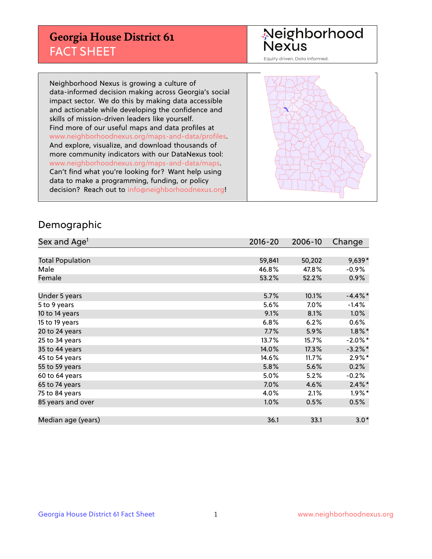## **Georgia House District 61** FACT SHEET

# Neighborhood<br>Nexus

Equity driven. Data informed.

Neighborhood Nexus is growing a culture of data-informed decision making across Georgia's social impact sector. We do this by making data accessible and actionable while developing the confidence and skills of mission-driven leaders like yourself. Find more of our useful maps and data profiles at www.neighborhoodnexus.org/maps-and-data/profiles. And explore, visualize, and download thousands of more community indicators with our DataNexus tool: www.neighborhoodnexus.org/maps-and-data/maps. Can't find what you're looking for? Want help using data to make a programming, funding, or policy decision? Reach out to [info@neighborhoodnexus.org!](mailto:info@neighborhoodnexus.org)



### Demographic

| Sex and Age <sup>1</sup> | $2016 - 20$ | 2006-10 | Change     |
|--------------------------|-------------|---------|------------|
|                          |             |         |            |
| <b>Total Population</b>  | 59,841      | 50,202  | $9,639*$   |
| Male                     | 46.8%       | 47.8%   | $-0.9\%$   |
| Female                   | 53.2%       | 52.2%   | 0.9%       |
|                          |             |         |            |
| Under 5 years            | 5.7%        | 10.1%   | $-4.4\%$ * |
| 5 to 9 years             | 5.6%        | 7.0%    | $-1.4%$    |
| 10 to 14 years           | 9.1%        | 8.1%    | 1.0%       |
| 15 to 19 years           | 6.8%        | 6.2%    | 0.6%       |
| 20 to 24 years           | 7.7%        | 5.9%    | $1.8\%$ *  |
| 25 to 34 years           | 13.7%       | 15.7%   | $-2.0\%$ * |
| 35 to 44 years           | 14.0%       | 17.3%   | $-3.2\%$ * |
| 45 to 54 years           | 14.6%       | 11.7%   | $2.9\%$ *  |
| 55 to 59 years           | 5.8%        | 5.6%    | 0.2%       |
| 60 to 64 years           | 5.0%        | 5.2%    | $-0.2%$    |
| 65 to 74 years           | 7.0%        | 4.6%    | $2.4\%$ *  |
| 75 to 84 years           | 4.0%        | 2.1%    | $1.9\%$ *  |
| 85 years and over        | 1.0%        | 0.5%    | 0.5%       |
|                          |             |         |            |
| Median age (years)       | 36.1        | 33.1    | $3.0*$     |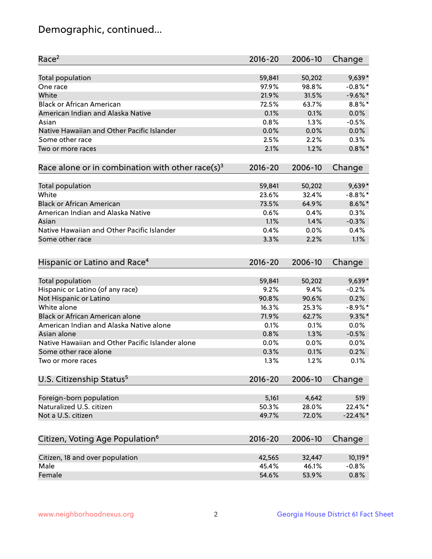## Demographic, continued...

| Race <sup>2</sup>                                            | $2016 - 20$ | 2006-10 | Change     |
|--------------------------------------------------------------|-------------|---------|------------|
| <b>Total population</b>                                      | 59,841      | 50,202  | $9,639*$   |
| One race                                                     | 97.9%       | 98.8%   | $-0.8\%$ * |
| White                                                        | 21.9%       | 31.5%   | $-9.6%$ *  |
| <b>Black or African American</b>                             | 72.5%       | 63.7%   | $8.8\%$ *  |
| American Indian and Alaska Native                            | 0.1%        | 0.1%    | 0.0%       |
| Asian                                                        | 0.8%        | 1.3%    | $-0.5%$    |
| Native Hawaiian and Other Pacific Islander                   | 0.0%        | 0.0%    | 0.0%       |
| Some other race                                              | 2.5%        | 2.2%    | 0.3%       |
| Two or more races                                            | 2.1%        | 1.2%    | $0.8\%$ *  |
| Race alone or in combination with other race(s) <sup>3</sup> | $2016 - 20$ | 2006-10 | Change     |
| Total population                                             | 59,841      | 50,202  | $9,639*$   |
| White                                                        | 23.6%       | 32.4%   | $-8.8\%$ * |
| <b>Black or African American</b>                             | 73.5%       | 64.9%   | $8.6\%$ *  |
| American Indian and Alaska Native                            | 0.6%        | 0.4%    | 0.3%       |
| Asian                                                        | 1.1%        | 1.4%    | $-0.3%$    |
| Native Hawaiian and Other Pacific Islander                   | 0.4%        | 0.0%    | 0.4%       |
| Some other race                                              | 3.3%        | 2.2%    | 1.1%       |
| Hispanic or Latino and Race <sup>4</sup>                     | $2016 - 20$ | 2006-10 | Change     |
| <b>Total population</b>                                      | 59,841      | 50,202  | $9,639*$   |
| Hispanic or Latino (of any race)                             | 9.2%        | 9.4%    | $-0.2%$    |
| Not Hispanic or Latino                                       | 90.8%       | 90.6%   | 0.2%       |
| White alone                                                  | 16.3%       | 25.3%   | $-8.9\%$ * |
| <b>Black or African American alone</b>                       | 71.9%       | 62.7%   | $9.3\%$ *  |
| American Indian and Alaska Native alone                      | 0.1%        | 0.1%    | 0.0%       |
| Asian alone                                                  | 0.8%        | 1.3%    | $-0.5%$    |
| Native Hawaiian and Other Pacific Islander alone             | 0.0%        | 0.0%    | 0.0%       |
| Some other race alone                                        | 0.3%        | 0.1%    | 0.2%       |
| Two or more races                                            | 1.3%        | 1.2%    | 0.1%       |
| U.S. Citizenship Status <sup>5</sup>                         | $2016 - 20$ | 2006-10 | Change     |
|                                                              | 5,161       | 4,642   | 519        |
| Foreign-born population<br>Naturalized U.S. citizen          | 50.3%       | 28.0%   | 22.4%*     |
| Not a U.S. citizen                                           | 49.7%       | 72.0%   | $-22.4%$   |
|                                                              |             |         |            |
| Citizen, Voting Age Population <sup>6</sup>                  | $2016 - 20$ | 2006-10 | Change     |
| Citizen, 18 and over population                              | 42,565      | 32,447  | 10,119 *   |
| Male                                                         | 45.4%       | 46.1%   | $-0.8%$    |
| Female                                                       | 54.6%       | 53.9%   | 0.8%       |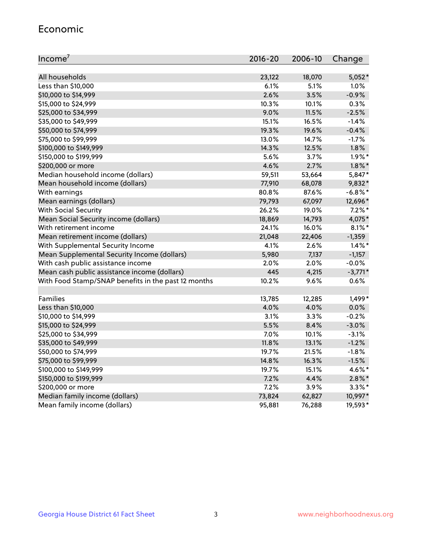#### Economic

| Income <sup>7</sup>                                 | 2016-20 | 2006-10 | Change     |
|-----------------------------------------------------|---------|---------|------------|
|                                                     |         |         |            |
| All households                                      | 23,122  | 18,070  | $5,052*$   |
| Less than \$10,000                                  | 6.1%    | 5.1%    | 1.0%       |
| \$10,000 to \$14,999                                | 2.6%    | 3.5%    | $-0.9%$    |
| \$15,000 to \$24,999                                | 10.3%   | 10.1%   | 0.3%       |
| \$25,000 to \$34,999                                | 9.0%    | 11.5%   | $-2.5%$    |
| \$35,000 to \$49,999                                | 15.1%   | 16.5%   | $-1.4%$    |
| \$50,000 to \$74,999                                | 19.3%   | 19.6%   | $-0.4%$    |
| \$75,000 to \$99,999                                | 13.0%   | 14.7%   | $-1.7%$    |
| \$100,000 to \$149,999                              | 14.3%   | 12.5%   | 1.8%       |
| \$150,000 to \$199,999                              | 5.6%    | 3.7%    | $1.9\%$ *  |
| \$200,000 or more                                   | 4.6%    | 2.7%    | $1.8\%$ *  |
| Median household income (dollars)                   | 59,511  | 53,664  | 5,847*     |
| Mean household income (dollars)                     | 77,910  | 68,078  | 9,832*     |
| With earnings                                       | 80.8%   | 87.6%   | $-6.8\%$ * |
| Mean earnings (dollars)                             | 79,793  | 67,097  | 12,696*    |
| <b>With Social Security</b>                         | 26.2%   | 19.0%   | $7.2\%$ *  |
| Mean Social Security income (dollars)               | 18,869  | 14,793  | 4,075*     |
| With retirement income                              | 24.1%   | 16.0%   | $8.1\%$ *  |
| Mean retirement income (dollars)                    | 21,048  | 22,406  | $-1,359$   |
| With Supplemental Security Income                   | 4.1%    | 2.6%    | $1.4\%$ *  |
| Mean Supplemental Security Income (dollars)         | 5,980   | 7,137   | $-1,157$   |
| With cash public assistance income                  | $2.0\%$ | 2.0%    | $-0.0%$    |
| Mean cash public assistance income (dollars)        | 445     | 4,215   | $-3,771*$  |
| With Food Stamp/SNAP benefits in the past 12 months | 10.2%   | 9.6%    | 0.6%       |
|                                                     |         |         |            |
| Families                                            | 13,785  | 12,285  | 1,499*     |
| Less than \$10,000                                  | 4.0%    | 4.0%    | 0.0%       |
| \$10,000 to \$14,999                                | 3.1%    | 3.3%    | $-0.2%$    |
| \$15,000 to \$24,999                                | 5.5%    | 8.4%    | $-3.0%$    |
| \$25,000 to \$34,999                                | 7.0%    | 10.1%   | $-3.1%$    |
| \$35,000 to \$49,999                                | 11.8%   | 13.1%   | $-1.2%$    |
| \$50,000 to \$74,999                                | 19.7%   | 21.5%   | $-1.8%$    |
| \$75,000 to \$99,999                                | 14.8%   | 16.3%   | $-1.5%$    |
| \$100,000 to \$149,999                              | 19.7%   | 15.1%   | 4.6%*      |
| \$150,000 to \$199,999                              | 7.2%    | 4.4%    | $2.8\%$ *  |
| \$200,000 or more                                   | 7.2%    | 3.9%    | $3.3\%$ *  |
| Median family income (dollars)                      | 73,824  | 62,827  | 10,997*    |
| Mean family income (dollars)                        | 95,881  | 76,288  | 19,593*    |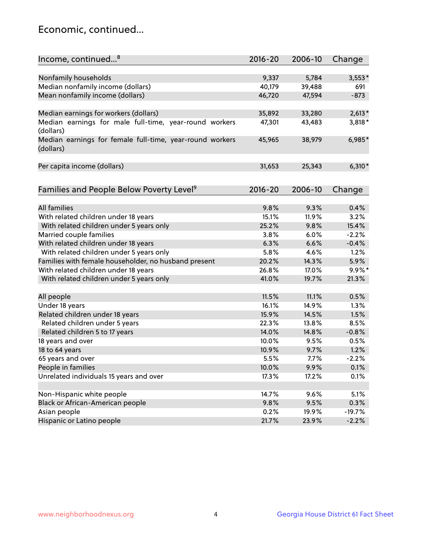## Economic, continued...

| Income, continued <sup>8</sup>                                        | $2016 - 20$ | 2006-10 | Change    |
|-----------------------------------------------------------------------|-------------|---------|-----------|
|                                                                       |             |         |           |
| Nonfamily households                                                  | 9,337       | 5,784   | $3,553*$  |
| Median nonfamily income (dollars)                                     | 40,179      | 39,488  | 691       |
| Mean nonfamily income (dollars)                                       | 46,720      | 47,594  | $-873$    |
| Median earnings for workers (dollars)                                 | 35,892      | 33,280  | $2,613*$  |
| Median earnings for male full-time, year-round workers                | 47,301      | 43,483  | 3,818*    |
| (dollars)                                                             |             |         |           |
| Median earnings for female full-time, year-round workers<br>(dollars) | 45,965      | 38,979  | 6,985*    |
| Per capita income (dollars)                                           | 31,653      | 25,343  | $6,310*$  |
|                                                                       |             |         |           |
| Families and People Below Poverty Level <sup>9</sup>                  | 2016-20     | 2006-10 | Change    |
|                                                                       |             |         |           |
| <b>All families</b>                                                   | 9.8%        | 9.3%    | 0.4%      |
| With related children under 18 years                                  | 15.1%       | 11.9%   | 3.2%      |
| With related children under 5 years only                              | 25.2%       | 9.8%    | 15.4%     |
| Married couple families                                               | 3.8%        | 6.0%    | $-2.2%$   |
| With related children under 18 years                                  | 6.3%        | 6.6%    | $-0.4%$   |
| With related children under 5 years only                              | 5.8%        | 4.6%    | 1.2%      |
| Families with female householder, no husband present                  | 20.2%       | 14.3%   | 5.9%      |
| With related children under 18 years                                  | 26.8%       | 17.0%   | $9.9\%$ * |
| With related children under 5 years only                              | 41.0%       | 19.7%   | 21.3%     |
| All people                                                            | 11.5%       | 11.1%   | 0.5%      |
| Under 18 years                                                        | 16.1%       | 14.9%   | 1.3%      |
| Related children under 18 years                                       | 15.9%       | 14.5%   | 1.5%      |
| Related children under 5 years                                        | 22.3%       | 13.8%   | 8.5%      |
| Related children 5 to 17 years                                        | 14.0%       | 14.8%   | $-0.8%$   |
|                                                                       | 10.0%       | 9.5%    | 0.5%      |
| 18 years and over                                                     |             |         |           |
| 18 to 64 years                                                        | 10.9%       | 9.7%    | 1.2%      |
| 65 years and over                                                     | 5.5%        | 7.7%    | $-2.2%$   |
| People in families                                                    | 10.0%       | 9.9%    | 0.1%      |
| Unrelated individuals 15 years and over                               | 17.3%       | 17.2%   | 0.1%      |
|                                                                       |             |         |           |
| Non-Hispanic white people                                             | 14.7%       | 9.6%    | 5.1%      |
| Black or African-American people                                      | 9.8%        | 9.5%    | 0.3%      |
| Asian people                                                          | 0.2%        | 19.9%   | $-19.7%$  |
| Hispanic or Latino people                                             | 21.7%       | 23.9%   | $-2.2%$   |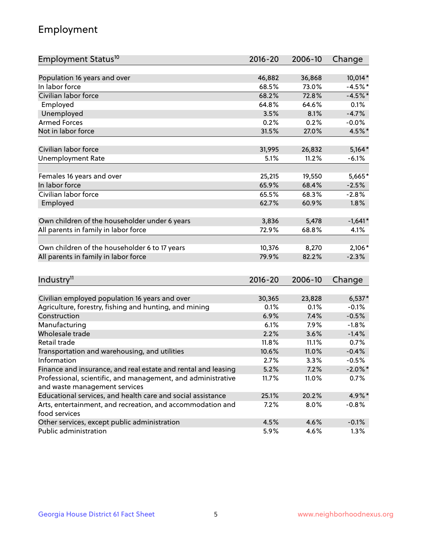## Employment

| Employment Status <sup>10</sup>                                                               | $2016 - 20$  | 2006-10        | Change             |
|-----------------------------------------------------------------------------------------------|--------------|----------------|--------------------|
|                                                                                               |              |                |                    |
| Population 16 years and over                                                                  | 46,882       | 36,868         | 10,014*            |
| In labor force                                                                                | 68.5%        | 73.0%          | $-4.5%$ *          |
| Civilian labor force                                                                          | 68.2%        | 72.8%          | $-4.5%$ *          |
| Employed                                                                                      | 64.8%        | 64.6%          | 0.1%               |
| Unemployed                                                                                    | 3.5%         | 8.1%           | $-4.7%$            |
| <b>Armed Forces</b>                                                                           | 0.2%         | 0.2%           | $-0.0%$            |
| Not in labor force                                                                            | 31.5%        | 27.0%          | 4.5%*              |
| Civilian labor force                                                                          | 31,995       | 26,832         | $5,164*$           |
| <b>Unemployment Rate</b>                                                                      | 5.1%         | 11.2%          | $-6.1%$            |
|                                                                                               |              |                |                    |
| Females 16 years and over                                                                     | 25,215       | 19,550         | 5,665*             |
| In labor force                                                                                | 65.9%        | 68.4%          | $-2.5%$            |
| Civilian labor force                                                                          | 65.5%        | 68.3%          | $-2.8%$            |
| Employed                                                                                      | 62.7%        | 60.9%          | 1.8%               |
| Own children of the householder under 6 years                                                 | 3,836        | 5,478          | $-1,641*$          |
| All parents in family in labor force                                                          | 72.9%        | 68.8%          | 4.1%               |
|                                                                                               |              |                |                    |
| Own children of the householder 6 to 17 years                                                 | 10,376       | 8,270          | $2,106*$           |
| All parents in family in labor force                                                          | 79.9%        | 82.2%          | $-2.3%$            |
|                                                                                               |              |                |                    |
| Industry <sup>11</sup>                                                                        | $2016 - 20$  | 2006-10        | Change             |
|                                                                                               |              |                |                    |
| Civilian employed population 16 years and over                                                | 30,365       | 23,828         | $6,537*$           |
| Agriculture, forestry, fishing and hunting, and mining<br>Construction                        | 0.1%         | 0.1%<br>7.4%   | $-0.1%$            |
|                                                                                               | 6.9%<br>6.1% |                | $-0.5%$            |
| Manufacturing<br>Wholesale trade                                                              | 2.2%         | 7.9%<br>3.6%   | $-1.8%$<br>$-1.4%$ |
| Retail trade                                                                                  | 11.8%        |                | 0.7%               |
| Transportation and warehousing, and utilities                                                 | 10.6%        | 11.1%<br>11.0% | $-0.4%$            |
| Information                                                                                   | 2.7%         | 3.3%           | $-0.5%$            |
| Finance and insurance, and real estate and rental and leasing                                 | 5.2%         | 7.2%           | $-2.0\%$ *         |
|                                                                                               |              |                |                    |
| Professional, scientific, and management, and administrative<br>and waste management services | 11.7%        | 11.0%          | 0.7%               |
| Educational services, and health care and social assistance                                   | 25.1%        | 20.2%          | 4.9%*              |
| Arts, entertainment, and recreation, and accommodation and                                    | 7.2%         | 8.0%           | $-0.8%$            |
| food services                                                                                 |              |                |                    |
| Other services, except public administration                                                  | 4.5%         | 4.6%           | $-0.1%$            |
| Public administration                                                                         | 5.9%         | 4.6%           | 1.3%               |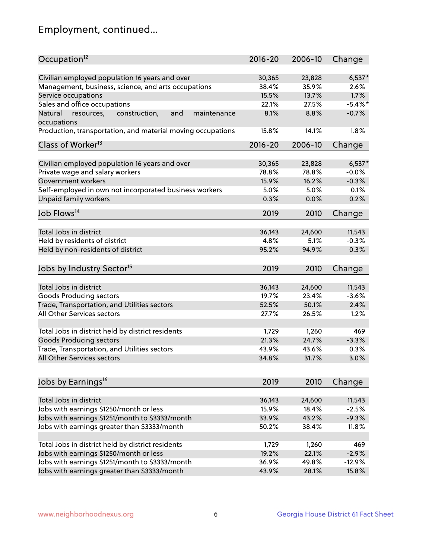## Employment, continued...

| Occupation <sup>12</sup>                                     | $2016 - 20$ | 2006-10 | Change     |
|--------------------------------------------------------------|-------------|---------|------------|
| Civilian employed population 16 years and over               | 30,365      | 23,828  | $6,537*$   |
| Management, business, science, and arts occupations          | 38.4%       | 35.9%   | 2.6%       |
| Service occupations                                          | 15.5%       | 13.7%   | 1.7%       |
| Sales and office occupations                                 | 22.1%       | 27.5%   | $-5.4\%$ * |
| Natural<br>and<br>resources,<br>construction,<br>maintenance | 8.1%        | 8.8%    | $-0.7%$    |
| occupations                                                  |             |         |            |
| Production, transportation, and material moving occupations  | 15.8%       | 14.1%   | 1.8%       |
| Class of Worker <sup>13</sup>                                | $2016 - 20$ | 2006-10 | Change     |
|                                                              |             |         |            |
| Civilian employed population 16 years and over               | 30,365      | 23,828  | $6,537*$   |
| Private wage and salary workers                              | 78.8%       | 78.8%   | $-0.0%$    |
| Government workers                                           | 15.9%       | 16.2%   | $-0.3%$    |
| Self-employed in own not incorporated business workers       | 5.0%        | 5.0%    | 0.1%       |
| Unpaid family workers                                        | 0.3%        | 0.0%    | 0.2%       |
| Job Flows <sup>14</sup>                                      | 2019        | 2010    | Change     |
|                                                              |             |         |            |
| Total Jobs in district                                       | 36,143      | 24,600  | 11,543     |
| Held by residents of district                                | 4.8%        | 5.1%    | $-0.3%$    |
| Held by non-residents of district                            | 95.2%       | 94.9%   | 0.3%       |
| Jobs by Industry Sector <sup>15</sup>                        | 2019        | 2010    | Change     |
| Total Jobs in district                                       | 36,143      | 24,600  | 11,543     |
| Goods Producing sectors                                      | 19.7%       | 23.4%   | $-3.6%$    |
| Trade, Transportation, and Utilities sectors                 | 52.5%       | 50.1%   | 2.4%       |
| All Other Services sectors                                   | 27.7%       | 26.5%   | 1.2%       |
|                                                              |             |         |            |
| Total Jobs in district held by district residents            | 1,729       | 1,260   | 469        |
| <b>Goods Producing sectors</b>                               | 21.3%       | 24.7%   | $-3.3%$    |
| Trade, Transportation, and Utilities sectors                 | 43.9%       | 43.6%   | 0.3%       |
| All Other Services sectors                                   | 34.8%       | 31.7%   | 3.0%       |
|                                                              |             |         |            |
| Jobs by Earnings <sup>16</sup>                               | 2019        | 2010    | Change     |
| Total Jobs in district                                       | 36,143      | 24,600  | 11,543     |
| Jobs with earnings \$1250/month or less                      | 15.9%       | 18.4%   | $-2.5%$    |
| Jobs with earnings \$1251/month to \$3333/month              | 33.9%       | 43.2%   | $-9.3%$    |
| Jobs with earnings greater than \$3333/month                 | 50.2%       | 38.4%   | 11.8%      |
|                                                              |             |         |            |
| Total Jobs in district held by district residents            | 1,729       | 1,260   | 469        |
| Jobs with earnings \$1250/month or less                      | 19.2%       | 22.1%   | $-2.9%$    |
| Jobs with earnings \$1251/month to \$3333/month              | 36.9%       | 49.8%   | $-12.9%$   |
| Jobs with earnings greater than \$3333/month                 | 43.9%       | 28.1%   | 15.8%      |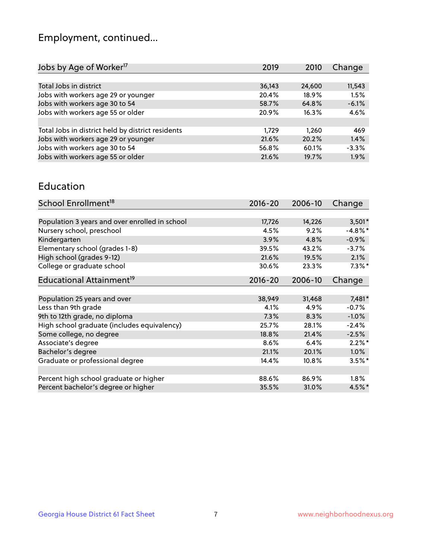## Employment, continued...

| Jobs by Age of Worker <sup>17</sup>               | 2019   | 2010   | Change  |
|---------------------------------------------------|--------|--------|---------|
|                                                   |        |        |         |
| Total Jobs in district                            | 36,143 | 24,600 | 11,543  |
| Jobs with workers age 29 or younger               | 20.4%  | 18.9%  | 1.5%    |
| Jobs with workers age 30 to 54                    | 58.7%  | 64.8%  | $-6.1%$ |
| Jobs with workers age 55 or older                 | 20.9%  | 16.3%  | 4.6%    |
|                                                   |        |        |         |
| Total Jobs in district held by district residents | 1.729  | 1.260  | 469     |
| Jobs with workers age 29 or younger               | 21.6%  | 20.2%  | 1.4%    |
| Jobs with workers age 30 to 54                    | 56.8%  | 60.1%  | $-3.3%$ |
| Jobs with workers age 55 or older                 | 21.6%  | 19.7%  | 1.9%    |
|                                                   |        |        |         |

#### Education

| School Enrollment <sup>18</sup>                | $2016 - 20$ | 2006-10  | Change     |
|------------------------------------------------|-------------|----------|------------|
|                                                |             |          |            |
| Population 3 years and over enrolled in school | 17,726      | 14,226   | $3,501*$   |
| Nursery school, preschool                      | 4.5%        | 9.2%     | $-4.8\%$ * |
| Kindergarten                                   | 3.9%        | 4.8%     | $-0.9%$    |
| Elementary school (grades 1-8)                 | 39.5%       | 43.2%    | $-3.7%$    |
| High school (grades 9-12)                      | 21.6%       | 19.5%    | 2.1%       |
| College or graduate school                     | 30.6%       | 23.3%    | $7.3\%$ *  |
| Educational Attainment <sup>19</sup>           | $2016 - 20$ | 2006-10  | Change     |
|                                                |             |          |            |
| Population 25 years and over                   | 38,949      | 31,468   | $7,481*$   |
| Less than 9th grade                            | 4.1%        | 4.9%     | $-0.7%$    |
| 9th to 12th grade, no diploma                  | 7.3%        | 8.3%     | $-1.0%$    |
| High school graduate (includes equivalency)    | 25.7%       | 28.1%    | $-2.4%$    |
| Some college, no degree                        | 18.8%       | 21.4%    | $-2.5%$    |
| Associate's degree                             | 8.6%        | 6.4%     | $2.2\%$ *  |
| Bachelor's degree                              | 21.1%       | 20.1%    | $1.0\%$    |
| Graduate or professional degree                | 14.4%       | $10.8\%$ | $3.5%$ *   |
|                                                |             |          |            |
| Percent high school graduate or higher         | 88.6%       | 86.9%    | 1.8%       |
| Percent bachelor's degree or higher            | 35.5%       | 31.0%    | $4.5\%$ *  |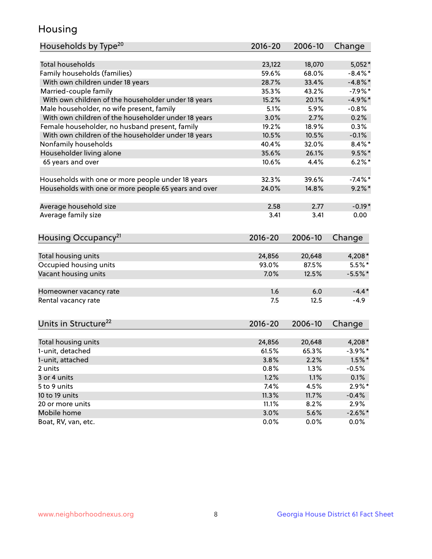## Housing

| Households by Type <sup>20</sup>                     | 2016-20     | 2006-10 | Change     |
|------------------------------------------------------|-------------|---------|------------|
|                                                      |             |         |            |
| <b>Total households</b>                              | 23,122      | 18,070  | $5,052*$   |
| Family households (families)                         | 59.6%       | 68.0%   | $-8.4\%$ * |
| With own children under 18 years                     | 28.7%       | 33.4%   | $-4.8\%$ * |
| Married-couple family                                | 35.3%       | 43.2%   | $-7.9%$ *  |
| With own children of the householder under 18 years  | 15.2%       | 20.1%   | $-4.9%$    |
| Male householder, no wife present, family            | 5.1%        | 5.9%    | $-0.8%$    |
| With own children of the householder under 18 years  | 3.0%        | 2.7%    | 0.2%       |
| Female householder, no husband present, family       | 19.2%       | 18.9%   | 0.3%       |
| With own children of the householder under 18 years  | 10.5%       | 10.5%   | $-0.1%$    |
| Nonfamily households                                 | 40.4%       | 32.0%   | $8.4\%$ *  |
| Householder living alone                             | 35.6%       | 26.1%   | $9.5%$ *   |
| 65 years and over                                    | 10.6%       | 4.4%    | $6.2\%$ *  |
|                                                      |             |         |            |
| Households with one or more people under 18 years    | 32.3%       | 39.6%   | $-7.4\%$ * |
| Households with one or more people 65 years and over | 24.0%       | 14.8%   | $9.2\%$ *  |
|                                                      |             |         |            |
| Average household size                               | 2.58        | 2.77    | $-0.19*$   |
| Average family size                                  | 3.41        | 3.41    | 0.00       |
|                                                      |             |         |            |
| Housing Occupancy <sup>21</sup>                      | $2016 - 20$ | 2006-10 | Change     |
|                                                      |             |         |            |
| Total housing units                                  | 24,856      | 20,648  | $4,208*$   |
| Occupied housing units                               | 93.0%       | 87.5%   | $5.5\%$ *  |
| Vacant housing units                                 | 7.0%        | 12.5%   | $-5.5%$ *  |
|                                                      |             |         |            |
| Homeowner vacancy rate                               | 1.6         | 6.0     | $-4.4*$    |
| Rental vacancy rate                                  | 7.5         | 12.5    | $-4.9$     |
|                                                      |             |         |            |
|                                                      |             |         |            |
| Units in Structure <sup>22</sup>                     | 2016-20     | 2006-10 | Change     |
| Total housing units                                  | 24,856      | 20,648  | $4,208*$   |
| 1-unit, detached                                     | 61.5%       | 65.3%   | $-3.9\%$ * |
| 1-unit, attached                                     | 3.8%        | 2.2%    | $1.5\%$ *  |
| 2 units                                              | 0.8%        | 1.3%    | $-0.5%$    |
| 3 or 4 units                                         | 1.2%        | 1.1%    | 0.1%       |
| 5 to 9 units                                         | 7.4%        | 4.5%    | $2.9\%*$   |
|                                                      |             |         |            |
| 10 to 19 units                                       | 11.3%       | 11.7%   | $-0.4%$    |
| 20 or more units<br>Mobile home                      | 11.1%       | 8.2%    | 2.9%       |
|                                                      | 3.0%        | 5.6%    | $-2.6\%$ * |
| Boat, RV, van, etc.                                  | 0.0%        | 0.0%    | 0.0%       |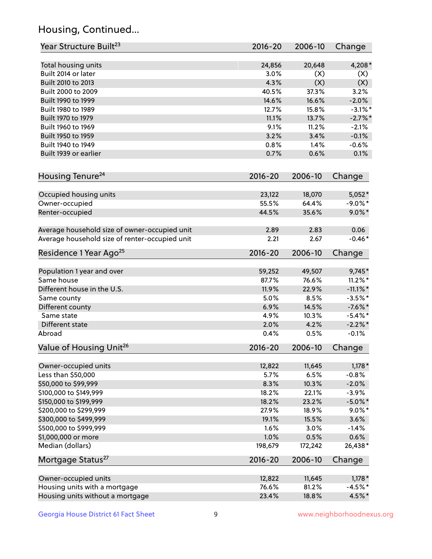## Housing, Continued...

| Year Structure Built <sup>23</sup>             | 2016-20         | 2006-10         | Change          |
|------------------------------------------------|-----------------|-----------------|-----------------|
| Total housing units                            | 24,856          | 20,648          | 4,208*          |
| Built 2014 or later                            | 3.0%            | (X)             | (X)             |
| Built 2010 to 2013                             | 4.3%            | (X)             | (X)             |
| Built 2000 to 2009                             | 40.5%           | 37.3%           | 3.2%            |
| Built 1990 to 1999                             | 14.6%           | 16.6%           | $-2.0%$         |
| Built 1980 to 1989                             | 12.7%           | 15.8%           | $-3.1\%$ *      |
| Built 1970 to 1979                             | 11.1%           | 13.7%           | $-2.7%$         |
| Built 1960 to 1969                             | 9.1%            | 11.2%           | $-2.1%$         |
| Built 1950 to 1959                             | 3.2%            | 3.4%            | $-0.1%$         |
| Built 1940 to 1949                             | 0.8%            | 1.4%            | $-0.6%$         |
| Built 1939 or earlier                          | 0.7%            | 0.6%            | 0.1%            |
| Housing Tenure <sup>24</sup>                   | $2016 - 20$     | 2006-10         | Change          |
|                                                | 23,122          | 18,070          | $5,052*$        |
| Occupied housing units<br>Owner-occupied       | 55.5%           | 64.4%           | $-9.0\%$ *      |
| Renter-occupied                                | 44.5%           | 35.6%           | $9.0\%$ *       |
|                                                |                 |                 |                 |
| Average household size of owner-occupied unit  | 2.89            | 2.83            | 0.06            |
| Average household size of renter-occupied unit | 2.21            | 2.67            | $-0.46*$        |
| Residence 1 Year Ago <sup>25</sup>             | $2016 - 20$     | 2006-10         | Change          |
| Population 1 year and over                     | 59,252          | 49,507          | $9,745*$        |
| Same house                                     | 87.7%           | 76.6%           | $11.2\%$ *      |
| Different house in the U.S.                    | 11.9%           | 22.9%           | $-11.1\%$ *     |
| Same county                                    | 5.0%            | 8.5%            | $-3.5%$ *       |
| Different county                               | 6.9%            | 14.5%           | $-7.6%$ *       |
| Same state                                     | 4.9%            | 10.3%           | $-5.4\%$ *      |
| Different state                                | 2.0%            | 4.2%            | $-2.2\%$ *      |
| Abroad                                         | 0.4%            | 0.5%            | $-0.1%$         |
| Value of Housing Unit <sup>26</sup>            | $2016 - 20$     | 2006-10         | Change          |
|                                                |                 |                 |                 |
| Owner-occupied units                           | 12,822          | 11,645          | $1,178*$        |
| Less than \$50,000                             | 5.7%            | 6.5%            | $-0.8%$         |
| \$50,000 to \$99,999                           | 8.3%            | 10.3%           | $-2.0%$         |
| \$100,000 to \$149,999                         | 18.2%           | 22.1%           | $-3.9%$         |
| \$150,000 to \$199,999                         | 18.2%           | 23.2%           | $-5.0\%$ *      |
| \$200,000 to \$299,999                         | 27.9%           | 18.9%           | $9.0\%$ *       |
| \$300,000 to \$499,999                         | 19.1%           | 15.5%           | 3.6%            |
| \$500,000 to \$999,999                         | 1.6%            | 3.0%            | $-1.4%$         |
| \$1,000,000 or more<br>Median (dollars)        | 1.0%<br>198,679 | 0.5%<br>172,242 | 0.6%<br>26,438* |
|                                                |                 |                 |                 |
| Mortgage Status <sup>27</sup>                  | $2016 - 20$     | 2006-10         | Change          |
| Owner-occupied units                           | 12,822          | 11,645          | $1,178*$        |
| Housing units with a mortgage                  | 76.6%           | 81.2%           | $-4.5%$ *       |
| Housing units without a mortgage               | 23.4%           | 18.8%           | 4.5%*           |
|                                                |                 |                 |                 |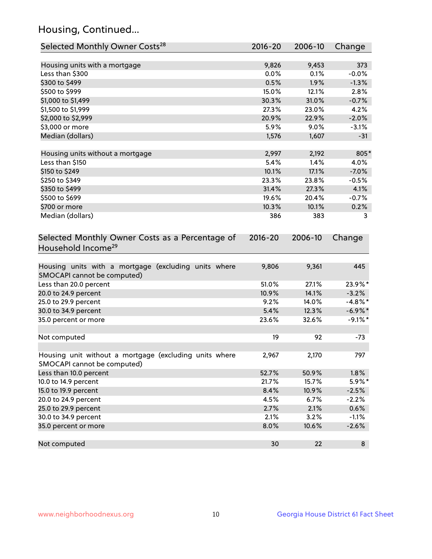## Housing, Continued...

| Selected Monthly Owner Costs <sup>28</sup>                                            | 2016-20 | 2006-10 | Change     |
|---------------------------------------------------------------------------------------|---------|---------|------------|
| Housing units with a mortgage                                                         | 9,826   | 9,453   | 373        |
| Less than \$300                                                                       | 0.0%    | 0.1%    | $-0.0%$    |
| \$300 to \$499                                                                        | 0.5%    | 1.9%    | $-1.3%$    |
| \$500 to \$999                                                                        | 15.0%   | 12.1%   | 2.8%       |
| \$1,000 to \$1,499                                                                    | 30.3%   | 31.0%   | $-0.7%$    |
| \$1,500 to \$1,999                                                                    | 27.3%   | 23.0%   | 4.2%       |
| \$2,000 to \$2,999                                                                    | 20.9%   | 22.9%   | $-2.0%$    |
| \$3,000 or more                                                                       | 5.9%    | 9.0%    | $-3.1%$    |
| Median (dollars)                                                                      | 1,576   | 1,607   | $-31$      |
| Housing units without a mortgage                                                      | 2,997   | 2,192   | 805*       |
| Less than \$150                                                                       | 5.4%    | 1.4%    | 4.0%       |
| \$150 to \$249                                                                        | 10.1%   | 17.1%   | $-7.0%$    |
| \$250 to \$349                                                                        | 23.3%   | 23.8%   | $-0.5%$    |
| \$350 to \$499                                                                        | 31.4%   | 27.3%   | 4.1%       |
| \$500 to \$699                                                                        | 19.6%   | 20.4%   | $-0.7%$    |
| \$700 or more                                                                         | 10.3%   | 10.1%   | 0.2%       |
| Median (dollars)                                                                      | 386     | 383     | 3          |
| Household Income <sup>29</sup>                                                        |         |         |            |
| Housing units with a mortgage (excluding units where<br>SMOCAPI cannot be computed)   | 9,806   | 9,361   | 445        |
| Less than 20.0 percent                                                                | 51.0%   | 27.1%   | 23.9%*     |
| 20.0 to 24.9 percent                                                                  | 10.9%   | 14.1%   | $-3.2%$    |
| 25.0 to 29.9 percent                                                                  | 9.2%    | 14.0%   | $-4.8\%$ * |
| 30.0 to 34.9 percent                                                                  | 5.4%    | 12.3%   | $-6.9\%$ * |
| 35.0 percent or more                                                                  | 23.6%   | 32.6%   | $-9.1\%$ * |
| Not computed                                                                          | 19      | 92      | $-73$      |
| Housing unit without a mortgage (excluding units where<br>SMOCAPI cannot be computed) | 2,967   | 2,170   | 797        |
| Less than 10.0 percent                                                                | 52.7%   | 50.9%   | 1.8%       |
| 10.0 to 14.9 percent                                                                  | 21.7%   | 15.7%   | 5.9%*      |
| 15.0 to 19.9 percent                                                                  | 8.4%    | 10.9%   | $-2.5%$    |
| 20.0 to 24.9 percent                                                                  | 4.5%    | 6.7%    | $-2.2%$    |
| 25.0 to 29.9 percent                                                                  | 2.7%    | 2.1%    | 0.6%       |
| 30.0 to 34.9 percent                                                                  | 2.1%    | 3.2%    | $-1.1%$    |
| 35.0 percent or more                                                                  | 8.0%    | 10.6%   | $-2.6%$    |
| Not computed                                                                          | 30      | 22      | 8          |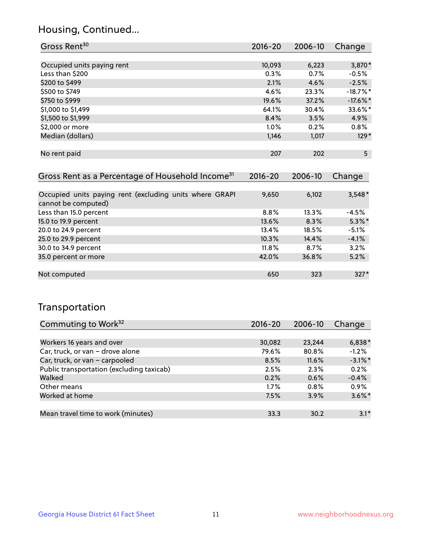## Housing, Continued...

| Gross Rent <sup>30</sup>   | 2016-20 | 2006-10 | Change      |
|----------------------------|---------|---------|-------------|
|                            |         |         |             |
| Occupied units paying rent | 10,093  | 6,223   | 3,870*      |
| Less than \$200            | 0.3%    | 0.7%    | $-0.5%$     |
| \$200 to \$499             | 2.1%    | 4.6%    | $-2.5%$     |
| \$500 to \$749             | 4.6%    | 23.3%   | $-18.7\%$ * |
| \$750 to \$999             | 19.6%   | 37.2%   | $-17.6\%$ * |
| \$1,000 to \$1,499         | 64.1%   | 30.4%   | 33.6%*      |
| \$1,500 to \$1,999         | 8.4%    | 3.5%    | 4.9%        |
| \$2,000 or more            | $1.0\%$ | 0.2%    | 0.8%        |
| Median (dollars)           | 1,146   | 1,017   | $129*$      |
|                            |         |         |             |
| No rent paid               | 207     | 202     | 5           |

| Gross Rent as a Percentage of Household Income <sup>31</sup>                   | $2016 - 20$ | 2006-10 | Change    |
|--------------------------------------------------------------------------------|-------------|---------|-----------|
|                                                                                |             |         |           |
| Occupied units paying rent (excluding units where GRAPI<br>cannot be computed) | 9,650       | 6,102   | $3,548*$  |
| Less than 15.0 percent                                                         | 8.8%        | 13.3%   | $-4.5%$   |
| 15.0 to 19.9 percent                                                           | 13.6%       | 8.3%    | $5.3\%$ * |
| 20.0 to 24.9 percent                                                           | 13.4%       | 18.5%   | $-5.1%$   |
| 25.0 to 29.9 percent                                                           | 10.3%       | 14.4%   | $-4.1%$   |
| 30.0 to 34.9 percent                                                           | $11.8\%$    | 8.7%    | 3.2%      |
| 35.0 percent or more                                                           | 42.0%       | 36.8%   | 5.2%      |
|                                                                                |             |         |           |
| Not computed                                                                   | 650         | 323     | $327*$    |

## Transportation

| Commuting to Work <sup>32</sup>           | 2016-20 | 2006-10 | Change     |
|-------------------------------------------|---------|---------|------------|
|                                           |         |         |            |
| Workers 16 years and over                 | 30,082  | 23,244  | $6,838*$   |
| Car, truck, or van - drove alone          | 79.6%   | 80.8%   | $-1.2%$    |
| Car, truck, or van - carpooled            | 8.5%    | 11.6%   | $-3.1\%$ * |
| Public transportation (excluding taxicab) | 2.5%    | 2.3%    | 0.2%       |
| Walked                                    | 0.2%    | 0.6%    | $-0.4%$    |
| Other means                               | $1.7\%$ | $0.8\%$ | 0.9%       |
| Worked at home                            | 7.5%    | 3.9%    | $3.6\%$ *  |
|                                           |         |         |            |
| Mean travel time to work (minutes)        | 33.3    | 30.2    | $3.1*$     |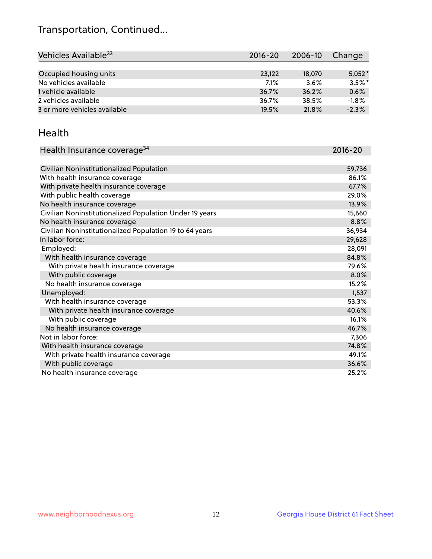## Transportation, Continued...

| Vehicles Available <sup>33</sup> | $2016 - 20$ | 2006-10 | Change    |
|----------------------------------|-------------|---------|-----------|
|                                  |             |         |           |
| Occupied housing units           | 23,122      | 18,070  | $5,052*$  |
| No vehicles available            | 7.1%        | 3.6%    | $3.5\%$ * |
| 1 vehicle available              | 36.7%       | 36.2%   | 0.6%      |
| 2 vehicles available             | 36.7%       | 38.5%   | $-1.8%$   |
| 3 or more vehicles available     | 19.5%       | 21.8%   | $-2.3%$   |

#### Health

| Health Insurance coverage <sup>34</sup>                 | 2016-20 |
|---------------------------------------------------------|---------|
|                                                         |         |
| Civilian Noninstitutionalized Population                | 59,736  |
| With health insurance coverage                          | 86.1%   |
| With private health insurance coverage                  | 67.7%   |
| With public health coverage                             | 29.0%   |
| No health insurance coverage                            | 13.9%   |
| Civilian Noninstitutionalized Population Under 19 years | 15,660  |
| No health insurance coverage                            | 8.8%    |
| Civilian Noninstitutionalized Population 19 to 64 years | 36,934  |
| In labor force:                                         | 29,628  |
| Employed:                                               | 28,091  |
| With health insurance coverage                          | 84.8%   |
| With private health insurance coverage                  | 79.6%   |
| With public coverage                                    | 8.0%    |
| No health insurance coverage                            | 15.2%   |
| Unemployed:                                             | 1,537   |
| With health insurance coverage                          | 53.3%   |
| With private health insurance coverage                  | 40.6%   |
| With public coverage                                    | 16.1%   |
| No health insurance coverage                            | 46.7%   |
| Not in labor force:                                     | 7,306   |
| With health insurance coverage                          | 74.8%   |
| With private health insurance coverage                  | 49.1%   |
| With public coverage                                    | 36.6%   |
| No health insurance coverage                            | 25.2%   |